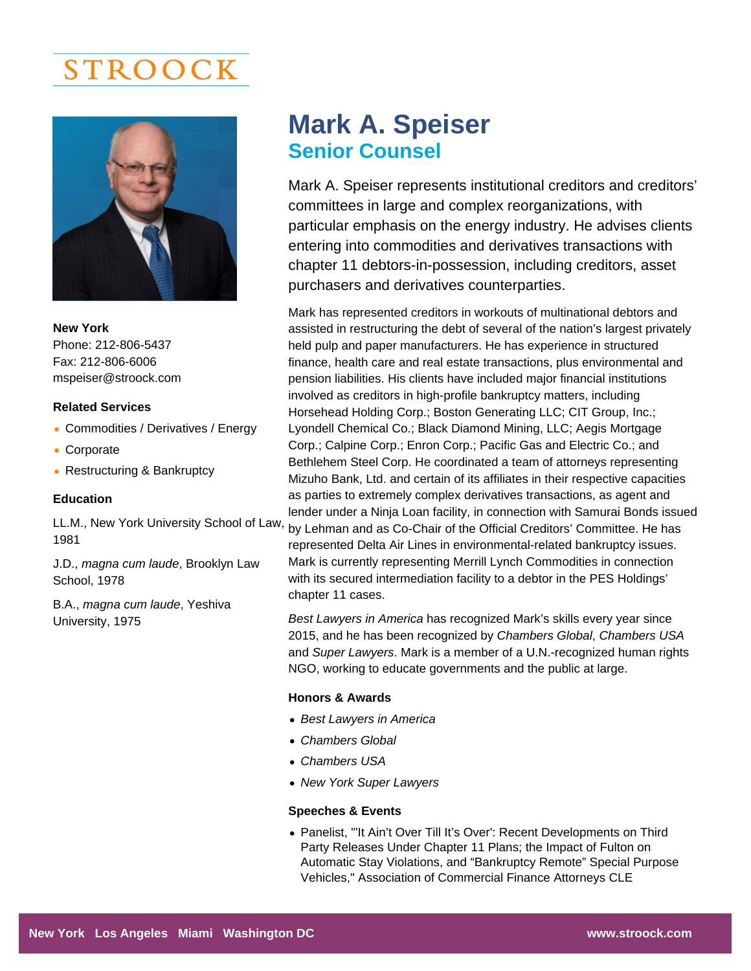# STROOCK

New York Phone: 212-806-5437 Fax: 212-806-6006 [mspeiser@stroock.com](mailto:mspeiser@stroock.com)

### Related Services

- Commodities / Derivatives / Energy
- Corporate
- Restructuring & Bankruptcy

## Education

LL.M., New York University School of Law, 1981

J.D., magna cum laude, Brooklyn Law School, 1978

B.A., magna cum laude, Yeshiva University, 1975

# Mark A. Speiser Senior Counsel

Mark A. Speiser represents institutional creditors and creditors' committees in large and complex reorganizations, with particular emphasis on the energy industry. He advises clients entering into commodities and derivatives transactions with chapter 11 debtors-in-possession, including creditors, asset purchasers and derivatives counterparties.

Mark has represented creditors in workouts of multinational debtors and assisted in restructuring the debt of several of the nation's largest privately held pulp and paper manufacturers. He has experience in structured finance, health care and real estate transactions, plus environmental and pension liabilities. His clients have included major financial institutions involved as creditors in high-profile bankruptcy matters, including Horsehead Holding Corp.; Boston Generating LLC; CIT Group, Inc.; Lyondell Chemical Co.; Black Diamond Mining, LLC; Aegis Mortgage Corp.; Calpine Corp.; Enron Corp.; Pacific Gas and Electric Co.; and Bethlehem Steel Corp. He coordinated a team of attorneys representing Mizuho Bank, Ltd. and certain of its affiliates in their respective capacities as parties to extremely complex derivatives transactions, as agent and lender under a Ninja Loan facility, in connection with Samurai Bonds issued by Lehman and as Co-Chair of the Official Creditors' Committee. He has represented Delta Air Lines in environmental-related bankruptcy issues. Mark is currently representing Merrill Lynch Commodities in connection with its secured intermediation facility to a debtor in the PES Holdings' chapter 11 cases.

Best Lawyers in America has recognized Mark's skills every year since 2015, and he has been recognized by Chambers Global, Chambers USA and Super Lawyers. Mark is a member of a U.N.-recognized human rights NGO, working to educate governments and the public at large.

#### Honors & Awards

- Best Lawyers in America
- Chambers Global
- Chambers USA
- New York Super Lawyers

Speeches & Events

Panelist, "'It Ain't Over Till It's Over': Recent Developments on Third Party Releases Under Chapter 11 Plans; the Impact of Fulton on Automatic Stay Violations, and "Bankruptcy Remote" Special Purpose Vehicles," Association of Commercial Finance Attorneys CLE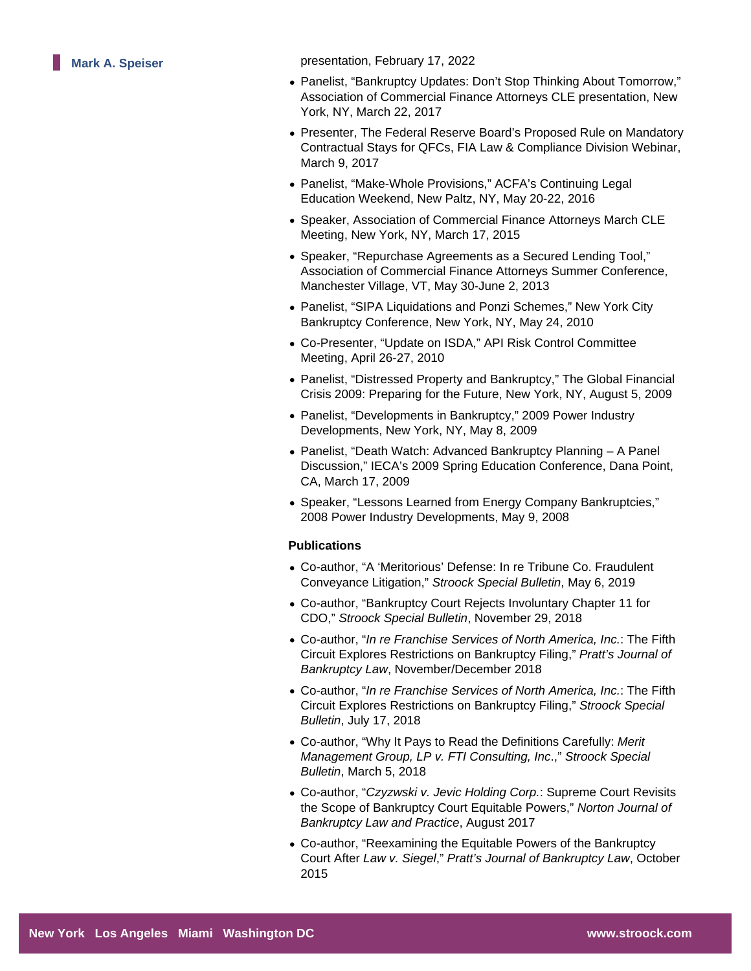**Mark A. Speiser presentation, February 17, 2022** 

- Panelist, "Bankruptcy Updates: Don't Stop Thinking About Tomorrow," Association of Commercial Finance Attorneys CLE presentation, New York, NY, March 22, 2017
- Presenter, The Federal Reserve Board's Proposed Rule on Mandatory Contractual Stays for QFCs, FIA Law & Compliance Division Webinar, March 9, 2017
- Panelist, "Make-Whole Provisions," ACFA's Continuing Legal Education Weekend, New Paltz, NY, May 20-22, 2016
- Speaker, Association of Commercial Finance Attorneys March CLE Meeting, New York, NY, March 17, 2015
- Speaker, "Repurchase Agreements as a Secured Lending Tool," Association of Commercial Finance Attorneys Summer Conference, Manchester Village, VT, May 30-June 2, 2013
- Panelist, "SIPA Liquidations and Ponzi Schemes," New York City Bankruptcy Conference, New York, NY, May 24, 2010
- Co-Presenter, "Update on ISDA," API Risk Control Committee Meeting, April 26-27, 2010
- Panelist, "Distressed Property and Bankruptcy," The Global Financial Crisis 2009: Preparing for the Future, New York, NY, August 5, 2009
- Panelist, "Developments in Bankruptcy," 2009 Power Industry Developments, New York, NY, May 8, 2009
- Panelist, "Death Watch: Advanced Bankruptcy Planning A Panel Discussion," IECA's 2009 Spring Education Conference, Dana Point, CA, March 17, 2009
- Speaker, "Lessons Learned from Energy Company Bankruptcies," 2008 Power Industry Developments, May 9, 2008

## **Publications**

- Co-author, "A 'Meritorious' Defense: In re Tribune Co. Fraudulent Conveyance Litigation," Stroock Special Bulletin, May 6, 2019
- Co-author, "Bankruptcy Court Rejects Involuntary Chapter 11 for CDO," Stroock Special Bulletin, November 29, 2018
- Co-author, "In re Franchise Services of North America, Inc.: The Fifth Circuit Explores Restrictions on Bankruptcy Filing," Pratt's Journal of Bankruptcy Law, November/December 2018
- Co-author, "In re Franchise Services of North America, Inc.: The Fifth Circuit Explores Restrictions on Bankruptcy Filing," Stroock Special Bulletin, July 17, 2018
- Co-author, "Why It Pays to Read the Definitions Carefully: Merit Management Group, LP v. FTI Consulting, Inc.," Stroock Special Bulletin, March 5, 2018
- Co-author, "Czyzwski v. Jevic Holding Corp.: Supreme Court Revisits the Scope of Bankruptcy Court Equitable Powers," Norton Journal of Bankruptcy Law and Practice, August 2017
- Co-author, "Reexamining the Equitable Powers of the Bankruptcy Court After Law v. Siegel," Pratt's Journal of Bankruptcy Law, October 2015